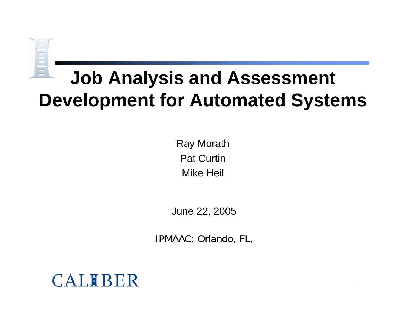# **THE LI**

## **Job Analysis and Assessment Development for Automated Systems**

Ray Morath Pat CurtinMike Heil

June 22, 2005

IPMAAC: Orlando, FL,

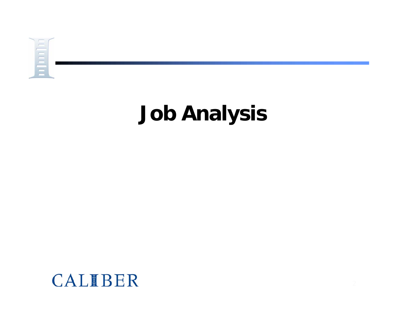

# **Job Analysis**

#### CALIBER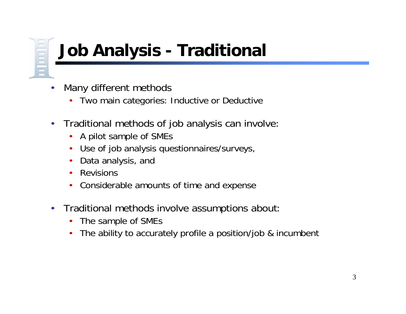## **Job Analysis - Traditional**

- • Many different methods
	- •Two main categories: Inductive or Deductive
- • Traditional methods of job analysis can involve:
	- $\bullet$ A pilot sample of SMEs
	- •Use of job analysis questionnaires/surveys,
	- •Data analysis, and
	- $\bullet$ Revisions
	- •Considerable amounts of time and expense
- • Traditional methods involve assumptions about:
	- $\bullet$ The sample of SMEs
	- •The ability to accurately profile a position/job & incumbent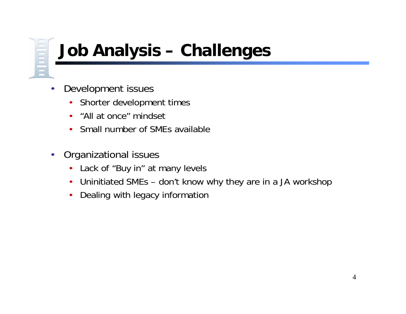## **Job Analysis – Challenges**

- • Development issues
	- $\bullet$ Shorter development times
	- $\bullet$ "All at once" mindset
	- $\bullet$ Small number of SMEs available
- • Organizational issues
	- $\bullet$ Lack of "Buy in" at many levels
	- $\bullet$ Uninitiated SMEs – don't know why they are in a JA workshop
	- $\bullet$ Dealing with legacy information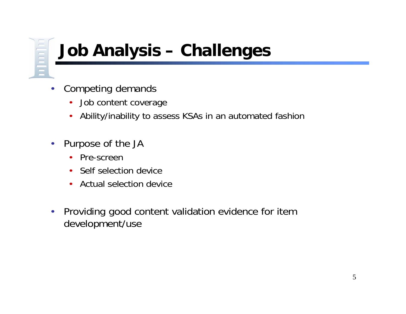## **Job Analysis – Challenges**

- • Competing demands
	- $\bullet$ Job content coverage
	- $\bullet$ Ability/inability to assess KSAs in an automated fashion
- $\bullet$  Purpose of the JA
	- $\bullet$ Pre-screen
	- $\bullet$ Self selection device
	- $\bullet$ Actual selection device
- • Providing good content validation evidence for item development/use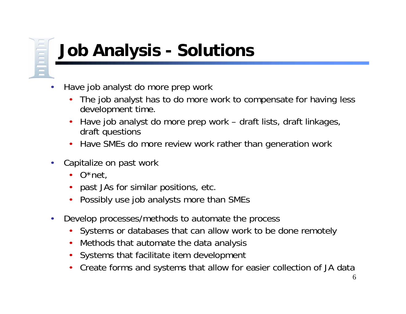## **Job Analysis - Solutions**

- • Have job analyst do more prep work
	- • The job analyst has to do more work to compensate for having less development time.
	- • Have job analyst do more prep work – draft lists, draft linkages, draft questions
	- •Have SMEs do more review work rather than generation work
- • Capitalize on past work
	- •O\*net,
	- $\bullet$ past JAs for similar positions, etc.
	- •Possibly use job analysts more than SMEs
- • Develop processes/methods to automate the process
	- •Systems or databases that can allow work to be done remotely
	- •Methods that automate the data analysis
	- •Systems that facilitate item development
	- •Create forms and systems that allow for easier collection of JA data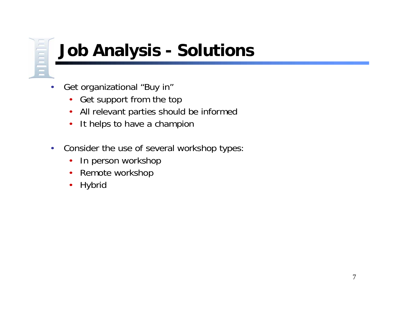## **Job Analysis - Solutions**

- • Get organizational "Buy in"
	- Get support from the top
	- $\bullet$ All relevant parties should be informed
	- $\bullet$ It helps to have a champion
- • Consider the use of several workshop types:
	- •In person workshop
	- $\bullet$ Remote workshop
	- •**Hybrid**

 $\mathbf{m}$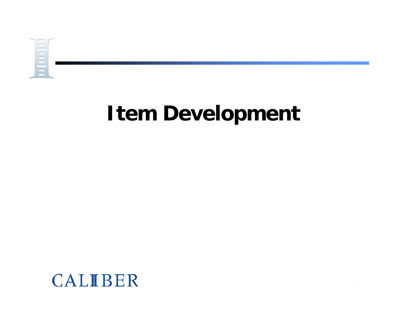

## **Item Development**

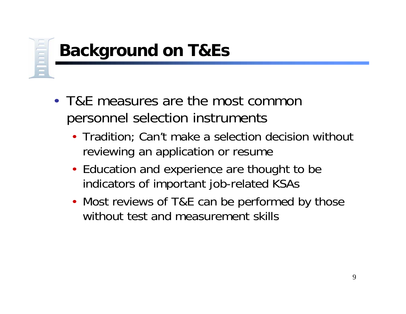## **Background on T&Es**

- T&E measures are the most common personnel selection instruments
	- Tradition; Can't make a selection decision without reviewing an application or resume
	- Education and experience are thought to be indicators of important job-related KSAs
	- Most reviews of T&E can be performed by those without test and measurement skills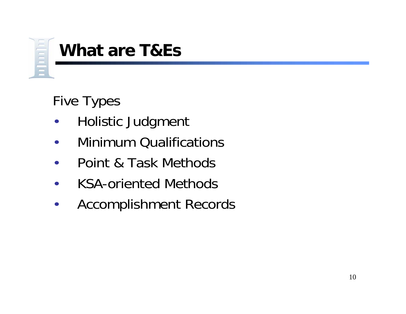

#### **What are T&Es**

#### Five Types

- •Holistic Judgment
- $\bullet$ Minimum Qualifications
- $\bullet$ Point & Task Methods
- $\bullet$ KSA-oriented Methods
- $\bullet$ Accomplishment Records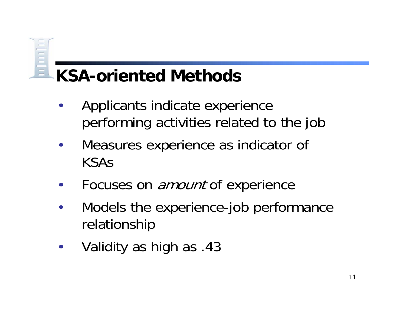#### **KSA-oriented Methods**

- • Applicants indicate experience performing activities related to the job
- $\bullet$  Measures experience as indicator of KSAs
- •Focuses on *amount* of experience
- $\bullet$  Models the experience-job performance relationship
- $\bullet$ Validity as high as .43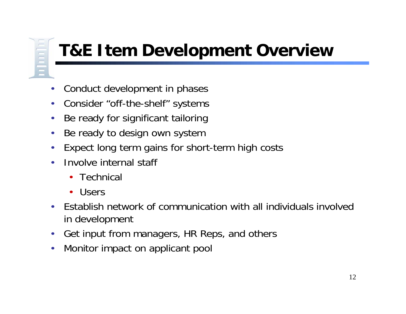## **T&E Item Development Overview**

- •Conduct development in phases
- •Consider "off-the-shelf" systems
- •Be ready for significant tailoring
- •Be ready to design own system
- •Expect long term gains for short-term high costs
- • Involve internal staff
	- Technical
	- •Users

- $\bullet$  Establish network of communication with all individuals involvedin development
- $\bullet$ Get input from managers, HR Reps, and others
- •Monitor impact on applicant pool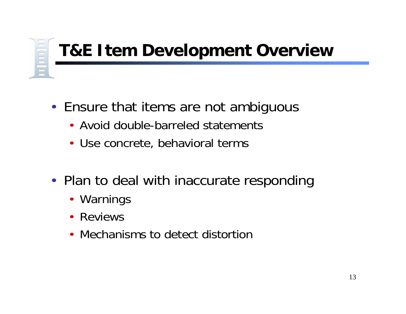## **T&E Item Development Overview**

- Ensure that items are not ambiguous
	- Avoid double-barreled statements
	- Use concrete, behavioral terms
- Plan to deal with inaccurate responding
	- Warnings
	- Reviews
	- Mechanisms to detect distortion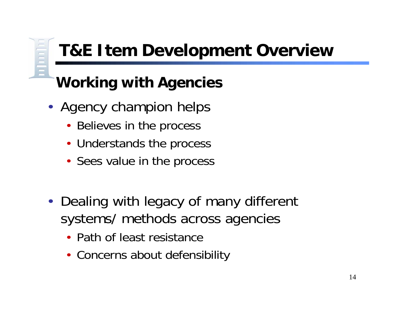## **T&E Item Development Overview**

#### **Working with Agencies**

- Agency champion helps
	- •Believes in the process
	- Understands the process
	- Sees value in the process
- Dealing with legacy of many different systems/ methods across agencies
	- Path of least resistance
	- Concerns about defensibility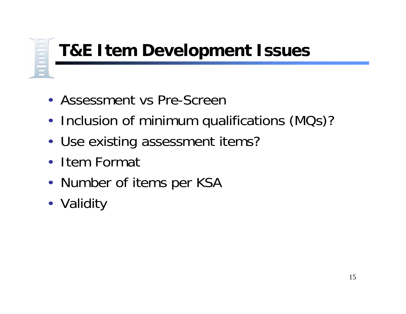## **T&E Item Development Issues**

- Assessment vs Pre-Screen
- •• Inclusion of minimum qualifications (MQs)?
- Use existing assessment items?
- Item Format
- Number of items per KSA
- Validity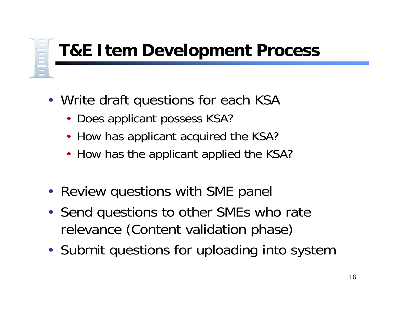## **T&E Item Development Process**

- Write draft questions for each KSA
	- $\bullet$ Does applicant possess KSA?
	- •How has applicant acquired the KSA?
	- How has the applicant applied the KSA?
- Review questions with SME panel
- Send questions to other SMEs who rate relevance (Content validation phase)
- Submit questions for uploading into system